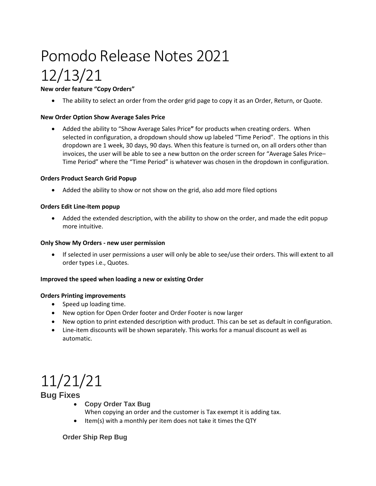# Pomodo Release Notes 2021 12/13/21

**New order feature "Copy Orders"**

• The ability to select an order from the order grid page to copy it as an Order, Return, or Quote.

### **New Order Option Show Average Sales Price**

• Added the ability to "Show Average Sales Price**"** for products when creating orders. When selected in configuration, a dropdown should show up labeled "Time Period". The options in this dropdown are 1 week, 30 days, 90 days. When this feature is turned on, on all orders other than invoices, the user will be able to see a new button on the order screen for "Average Sales Price– Time Period" where the "Time Period" is whatever was chosen in the dropdown in configuration.

#### **Orders Product Search Grid Popup**

• Added the ability to show or not show on the grid, also add more filed options

#### **Orders Edit Line-Item popup**

• Added the extended description, with the ability to show on the order, and made the edit popup more intuitive.

#### **Only Show My Orders - new user permission**

• If selected in user permissions a user will only be able to see/use their orders. This will extent to all order types i.e., Quotes.

#### **Improved the speed when loading a new or existing Order**

#### **Orders Printing improvements**

- Speed up loading time.
- New option for Open Order footer and Order Footer is now larger
- New option to print extended description with product. This can be set as default in configuration.
- Line-item discounts will be shown separately. This works for a manual discount as well as automatic.

## 11/21/21

## **Bug Fixes**

- **Copy Order Tax Bug**
- When copying an order and the customer is Tax exempt it is adding tax.
- Item(s) with a monthly per item does not take it times the QTY

### **Order Ship Rep Bug**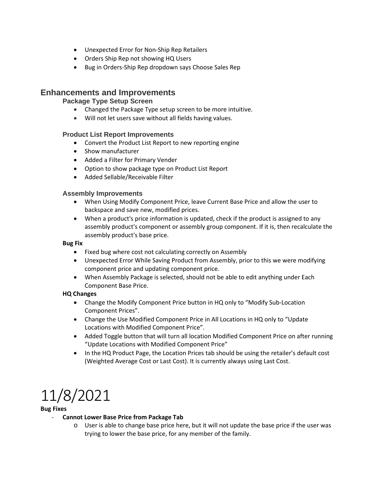- Unexpected Error for Non-Ship Rep Retailers
- Orders Ship Rep not showing HQ Users
- Bug in Orders-Ship Rep dropdown says Choose Sales Rep

## **Enhancements and Improvements**

### **Package Type Setup Screen**

- Changed the Package Type setup screen to be more intuitive.
- Will not let users save without all fields having values.

### **Product List Report Improvements**

- Convert the Product List Report to new reporting engine
- Show manufacturer
- Added a Filter for Primary Vender
- Option to show package type on Product List Report
- Added Sellable/Receivable Filter

### **Assembly Improvements**

- When Using Modify Component Price, leave Current Base Price and allow the user to backspace and save new, modified prices.
- When a product's price information is updated, check if the product is assigned to any assembly product's component or assembly group component. If it is, then recalculate the assembly product's base price.

#### **Bug Fix**

- Fixed bug where cost not calculating correctly on Assembly
- Unexpected Error While Saving Product from Assembly, prior to this we were modifying component price and updating component price.
- When Assembly Package is selected, should not be able to edit anything under Each Component Base Price.

### **HQ Changes**

- Change the Modify Component Price button in HQ only to "Modify Sub-Location Component Prices".
- Change the Use Modified Component Price in All Locations in HQ only to "Update Locations with Modified Component Price".
- Added Toggle button that will turn all location Modified Component Price on after running "Update Locations with Modified Component Price"
- In the HQ Product Page, the Location Prices tab should be using the retailer's default cost (Weighted Average Cost or Last Cost). It is currently always using Last Cost.

## 11/8/2021

### **Bug Fixes**

- **Cannot Lower Base Price from Package Tab** 
	- o User is able to change base price here, but it will not update the base price if the user was trying to lower the base price, for any member of the family.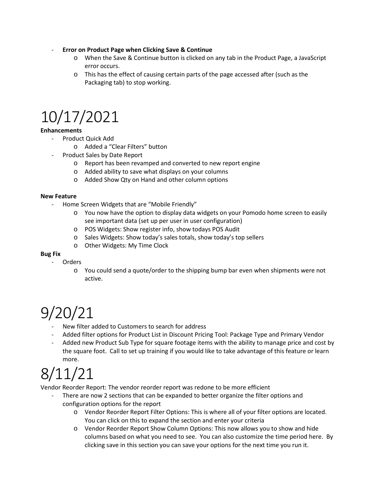- **Error on Product Page when Clicking Save & Continue**
	- o When the Save & Continue button is clicked on any tab in the Product Page, a JavaScript error occurs.
	- o This has the effect of causing certain parts of the page accessed after (such as the Packaging tab) to stop working.

## 10/17/2021

## **Enhancements**

- Product Quick Add
	- o Added a "Clear Filters" button
- Product Sales by Date Report
	- o Report has been revamped and converted to new report engine
	- o Added ability to save what displays on your columns
	- o Added Show Qty on Hand and other column options

### **New Feature**

- Home Screen Widgets that are "Mobile Friendly"
	- o You now have the option to display data widgets on your Pomodo home screen to easily see important data (set up per user in user configuration)
	- o POS Widgets: Show register info, show todays POS Audit
	- o Sales Widgets: Show today's sales totals, show today's top sellers
	- o Other Widgets: My Time Clock

### **Bug Fix**

- **Orders** 
	- o You could send a quote/order to the shipping bump bar even when shipments were not active.

## 9/20/21

- New filter added to Customers to search for address
- Added filter options for Product List in Discount Pricing Tool: Package Type and Primary Vendor
- Added new Product Sub Type for square footage items with the ability to manage price and cost by the square foot. Call to set up training if you would like to take advantage of this feature or learn more.

## 8/11/21

Vendor Reorder Report: The vendor reorder report was redone to be more efficient

- There are now 2 sections that can be expanded to better organize the filter options and configuration options for the report
	- o Vendor Reorder Report Filter Options: This is where all of your filter options are located. You can click on this to expand the section and enter your criteria
	- o Vendor Reorder Report Show Column Options: This now allows you to show and hide columns based on what you need to see. You can also customize the time period here. By clicking save in this section you can save your options for the next time you run it.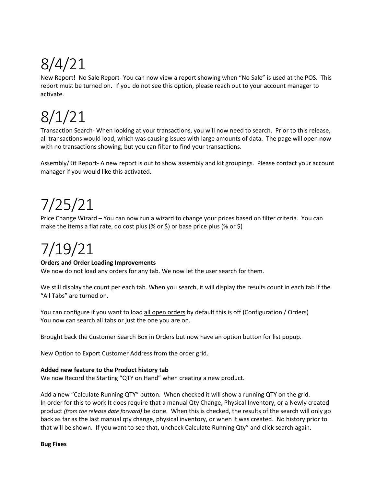# 8/4/21

New Report! No Sale Report- You can now view a report showing when "No Sale" is used at the POS. This report must be turned on. If you do not see this option, please reach out to your account manager to activate.

# 8/1/21

Transaction Search- When looking at your transactions, you will now need to search. Prior to this release, all transactions would load, which was causing issues with large amounts of data. The page will open now with no transactions showing, but you can filter to find your transactions.

Assembly/Kit Report- A new report is out to show assembly and kit groupings. Please contact your account manager if you would like this activated.

## 7/25/21

Price Change Wizard – You can now run a wizard to change your prices based on filter criteria. You can make the items a flat rate, do cost plus (% or \$) or base price plus (% or \$)

# 7/19/21

## **Orders and Order Loading Improvements**

We now do not load any orders for any tab. We now let the user search for them.

We still display the count per each tab. When you search, it will display the results count in each tab if the "All Tabs" are turned on.

You can configure if you want to load all open orders by default this is off (Configuration / Orders) You now can search all tabs or just the one you are on.

Brought back the Customer Search Box in Orders but now have an option button for list popup.

New Option to Export Customer Address from the order grid.

## **Added new feature to the Product history tab**

We now Record the Starting "QTY on Hand" when creating a new product.

Add a new "Calculate Running QTY" button. When checked it will show a running QTY on the grid. In order for this to work It does require that a manual Qty Change, Physical Inventory, or a Newly created product *(from the release date forward)* be done. When this is checked, the results of the search will only go back as far as the last manual qty change, physical inventory, or when it was created. No history prior to that will be shown. If you want to see that, uncheck Calculate Running Qty" and click search again.

**Bug Fixes**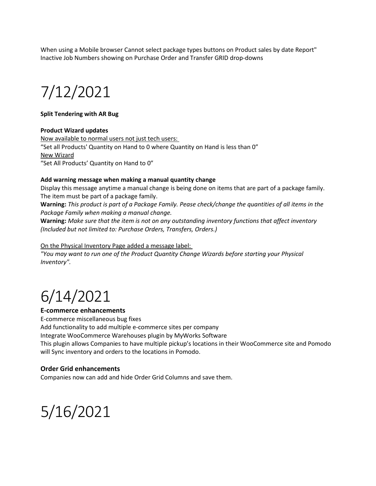When using a Mobile browser Cannot select package types buttons on Product sales by date Report" Inactive Job Numbers showing on Purchase Order and Transfer GRID drop-downs

## 7/12/2021

#### **Split Tendering with AR Bug**

#### **Product Wizard updates**

Now available to normal users not just tech users: "Set all Products' Quantity on Hand to 0 where Quantity on Hand is less than 0" New Wizard "Set All Products' Quantity on Hand to 0"

#### **Add warning message when making a manual quantity change**

Display this message anytime a manual change is being done on items that are part of a package family. The item must be part of a package family.

**Warning:** *This product is part of a Package Family. Pease check/change the quantities of all items in the Package Family when making a manual change.*

**Warning:** *Make sure that the item is not on any outstanding inventory functions that affect inventory (Included but not limited to: Purchase Orders, Transfers, Orders.)*

On the Physical Inventory Page added a message label:

*"You may want to run one of the Product Quantity Change Wizards before starting your Physical Inventory".* 

## 6/14/2021

### **E-commerce enhancements**

E-commerce miscellaneous bug fixes Add functionality to add multiple e-commerce sites per company Integrate WooCommerce Warehouses plugin by MyWorks Software This plugin allows Companies to have multiple pickup's locations in their WooCommerce site and Pomodo will Sync inventory and orders to the locations in Pomodo.

### **Order Grid enhancements**

Companies now can add and hide Order Grid Columns and save them.

## 5/16/2021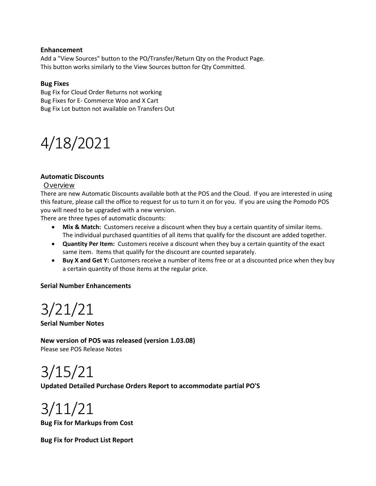### **Enhancement**

Add a "View Sources" button to the PO/Transfer/Return Qty on the Product Page. This button works similarly to the View Sources button for Qty Committed.

### **Bug Fixes**

Bug Fix for Cloud Order Returns not working Bug Fixes for E- Commerce Woo and X Cart Bug Fix Lot button not available on Transfers Out

## 4/18/2021

## **Automatic Discounts**

### Overview

There are new Automatic Discounts available both at the POS and the Cloud. If you are interested in using this feature, please call the office to request for us to turn it on for you. If you are using the Pomodo POS you will need to be upgraded with a new version.

There are three types of automatic discounts:

- **Mix & Match:** Customers receive a discount when they buy a certain quantity of similar items. The individual purchased quantities of all items that qualify for the discount are added together.
- **Quantity Per Item:** Customers receive a discount when they buy a certain quantity of the exact same item. Items that qualify for the discount are counted separately.
- **Buy X and Get Y:** Customers receive a number of items free or at a discounted price when they buy a certain quantity of those items at the regular price.

## **Serial Number Enhancements**

## 3/21/21

**Serial Number Notes**

**New version of POS was released (version 1.03.08)** Please see POS Release Notes

3/15/21

## **Updated Detailed Purchase Orders Report to accommodate partial PO'S**

3/11/21

**Bug Fix for Markups from Cost**

**Bug Fix for Product List Report**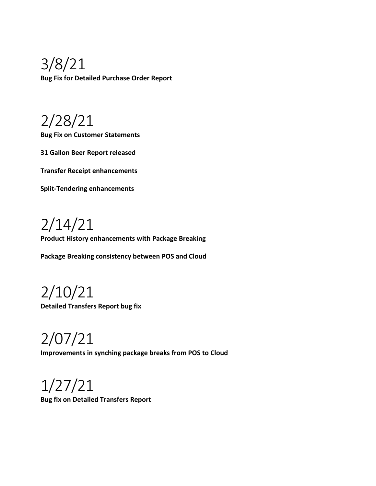3/8/21 **Bug Fix for Detailed Purchase Order Report**

2/28/21

**Bug Fix on Customer Statements**

**31 Gallon Beer Report released**

**Transfer Receipt enhancements**

**Split-Tendering enhancements**

2/14/21

**Product History enhancements with Package Breaking**

**Package Breaking consistency between POS and Cloud**

2/10/21 **Detailed Transfers Report bug fix**

2/07/21 **Improvements in synching package breaks from POS to Cloud**

1/27/21 **Bug fix on Detailed Transfers Report**